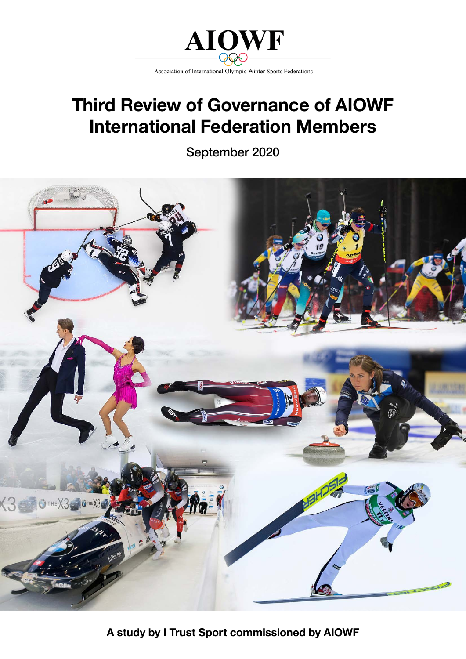

# **Third Review of Governance of AIOWF International Federation Members**

September 2020



**A study by I Trust Sport commissioned by AIOWF**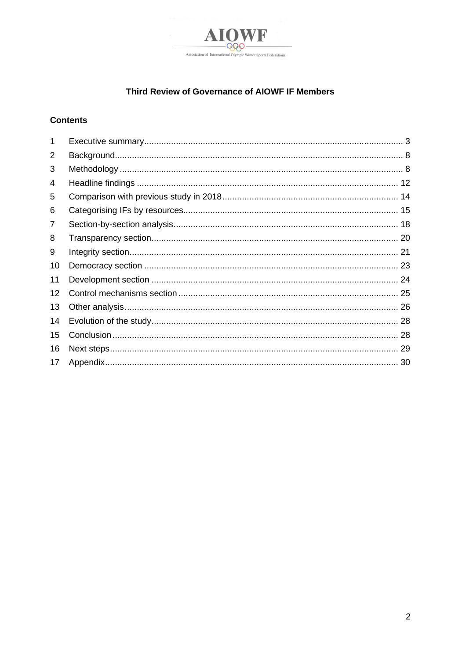

# Third Review of Governance of AIOWF IF Members

## **Contents**

| $\mathbf 1$ |  |
|-------------|--|
| 2           |  |
| 3           |  |
| 4           |  |
| 5           |  |
| 6           |  |
| 7           |  |
| 8           |  |
| 9           |  |
| 10          |  |
| 11          |  |
| 12          |  |
| 13          |  |
| 14          |  |
| 15          |  |
| 16          |  |
| 17          |  |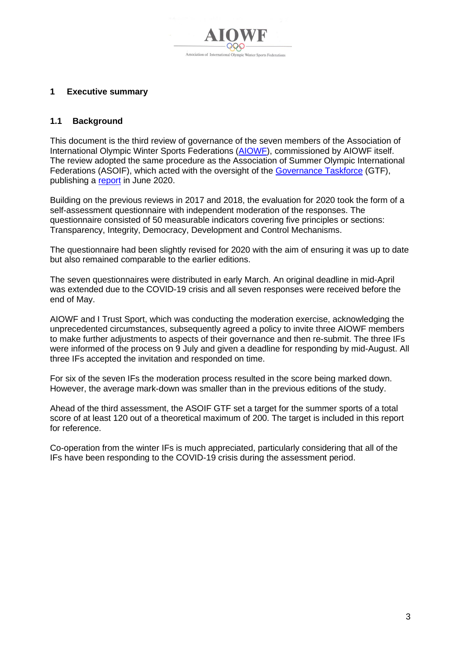

## <span id="page-2-0"></span>**1 Executive summary**

## **1.1 Background**

This document is the third review of governance of the seven members of the Association of International Olympic Winter Sports Federations [\(AIOWF\)](https://www.olympic.org/ioc-governance-international-sports-federations), commissioned by AIOWF itself. The review adopted the same procedure as the Association of Summer Olympic International Federations (ASOIF), which acted with the oversight of the [Governance Taskforce](http://www.asoif.com/governance-task-force) (GTF), publishing a [report](https://www.asoif.com/sites/default/files/download/asoif_third_review_of_if_governance_fv-0616.pdf) in June 2020.

Building on the previous reviews in 2017 and 2018, the evaluation for 2020 took the form of a self-assessment questionnaire with independent moderation of the responses. The questionnaire consisted of 50 measurable indicators covering five principles or sections: Transparency, Integrity, Democracy, Development and Control Mechanisms.

The questionnaire had been slightly revised for 2020 with the aim of ensuring it was up to date but also remained comparable to the earlier editions.

The seven questionnaires were distributed in early March. An original deadline in mid-April was extended due to the COVID-19 crisis and all seven responses were received before the end of May.

AIOWF and I Trust Sport, which was conducting the moderation exercise, acknowledging the unprecedented circumstances, subsequently agreed a policy to invite three AIOWF members to make further adjustments to aspects of their governance and then re-submit. The three IFs were informed of the process on 9 July and given a deadline for responding by mid-August. All three IFs accepted the invitation and responded on time.

For six of the seven IFs the moderation process resulted in the score being marked down. However, the average mark-down was smaller than in the previous editions of the study.

Ahead of the third assessment, the ASOIF GTF set a target for the summer sports of a total score of at least 120 out of a theoretical maximum of 200. The target is included in this report for reference.

Co-operation from the winter IFs is much appreciated, particularly considering that all of the IFs have been responding to the COVID-19 crisis during the assessment period.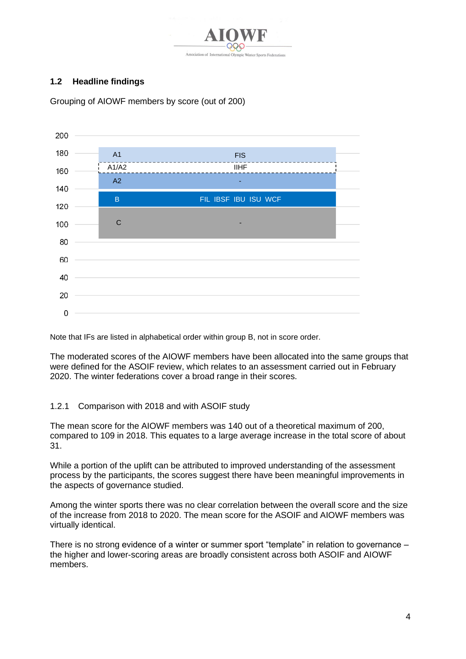

# **1.2 Headline findings**

200 180 A1 FIS A1/A2 IIHF 160 A2 -140 B FIL IBSF IBU ISU WCF 120 C 100 80 60 40 20  $\overline{0}$ 

Grouping of AIOWF members by score (out of 200)

Note that IFs are listed in alphabetical order within group B, not in score order.

The moderated scores of the AIOWF members have been allocated into the same groups that were defined for the ASOIF review, which relates to an assessment carried out in February 2020. The winter federations cover a broad range in their scores.

## 1.2.1 Comparison with 2018 and with ASOIF study

The mean score for the AIOWF members was 140 out of a theoretical maximum of 200, compared to 109 in 2018. This equates to a large average increase in the total score of about 31.

While a portion of the uplift can be attributed to improved understanding of the assessment process by the participants, the scores suggest there have been meaningful improvements in the aspects of governance studied.

Among the winter sports there was no clear correlation between the overall score and the size of the increase from 2018 to 2020. The mean score for the ASOIF and AIOWF members was virtually identical.

There is no strong evidence of a winter or summer sport "template" in relation to governance – the higher and lower-scoring areas are broadly consistent across both ASOIF and AIOWF members.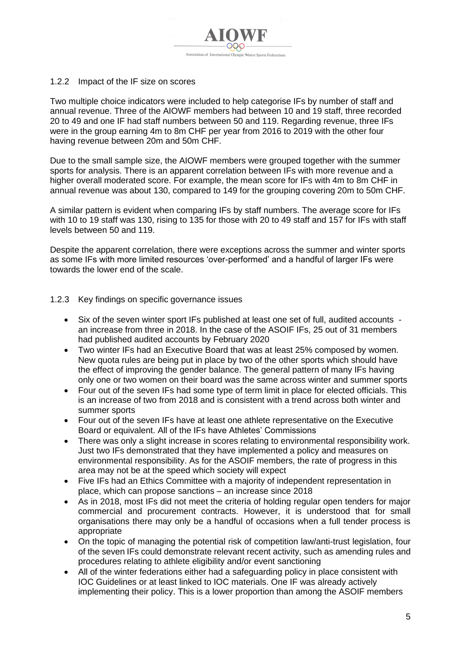

#### 1.2.2 Impact of the IF size on scores

Two multiple choice indicators were included to help categorise IFs by number of staff and annual revenue. Three of the AIOWF members had between 10 and 19 staff, three recorded 20 to 49 and one IF had staff numbers between 50 and 119. Regarding revenue, three IFs were in the group earning 4m to 8m CHF per year from 2016 to 2019 with the other four having revenue between 20m and 50m CHF.

Due to the small sample size, the AIOWF members were grouped together with the summer sports for analysis. There is an apparent correlation between IFs with more revenue and a higher overall moderated score. For example, the mean score for IFs with 4m to 8m CHF in annual revenue was about 130, compared to 149 for the grouping covering 20m to 50m CHF.

A similar pattern is evident when comparing IFs by staff numbers. The average score for IFs with 10 to 19 staff was 130, rising to 135 for those with 20 to 49 staff and 157 for IFs with staff levels between 50 and 119.

Despite the apparent correlation, there were exceptions across the summer and winter sports as some IFs with more limited resources 'over-performed' and a handful of larger IFs were towards the lower end of the scale.

#### 1.2.3 Key findings on specific governance issues

- Six of the seven winter sport IFs published at least one set of full, audited accounts an increase from three in 2018. In the case of the ASOIF IFs, 25 out of 31 members had published audited accounts by February 2020
- Two winter IFs had an Executive Board that was at least 25% composed by women. New quota rules are being put in place by two of the other sports which should have the effect of improving the gender balance. The general pattern of many IFs having only one or two women on their board was the same across winter and summer sports
- Four out of the seven IFs had some type of term limit in place for elected officials. This is an increase of two from 2018 and is consistent with a trend across both winter and summer sports
- Four out of the seven IFs have at least one athlete representative on the Executive Board or equivalent. All of the IFs have Athletes' Commissions
- There was only a slight increase in scores relating to environmental responsibility work. Just two IFs demonstrated that they have implemented a policy and measures on environmental responsibility. As for the ASOIF members, the rate of progress in this area may not be at the speed which society will expect
- Five IFs had an Ethics Committee with a majority of independent representation in place, which can propose sanctions – an increase since 2018
- As in 2018, most IFs did not meet the criteria of holding regular open tenders for major commercial and procurement contracts. However, it is understood that for small organisations there may only be a handful of occasions when a full tender process is appropriate
- On the topic of managing the potential risk of competition law/anti-trust legislation, four of the seven IFs could demonstrate relevant recent activity, such as amending rules and procedures relating to athlete eligibility and/or event sanctioning
- All of the winter federations either had a safeguarding policy in place consistent with IOC Guidelines or at least linked to IOC materials. One IF was already actively implementing their policy. This is a lower proportion than among the ASOIF members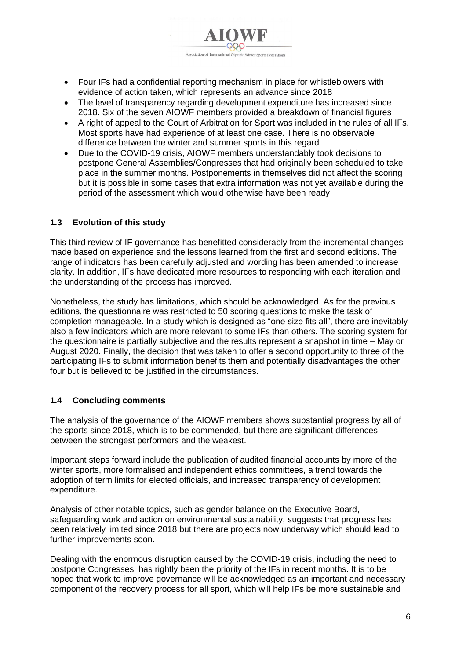

- The level of transparency regarding development expenditure has increased since 2018. Six of the seven AIOWF members provided a breakdown of financial figures
- A right of appeal to the Court of Arbitration for Sport was included in the rules of all IFs. Most sports have had experience of at least one case. There is no observable difference between the winter and summer sports in this regard
- Due to the COVID-19 crisis, AIOWF members understandably took decisions to postpone General Assemblies/Congresses that had originally been scheduled to take place in the summer months. Postponements in themselves did not affect the scoring but it is possible in some cases that extra information was not yet available during the period of the assessment which would otherwise have been ready

# **1.3 Evolution of this study**

This third review of IF governance has benefitted considerably from the incremental changes made based on experience and the lessons learned from the first and second editions. The range of indicators has been carefully adjusted and wording has been amended to increase clarity. In addition, IFs have dedicated more resources to responding with each iteration and the understanding of the process has improved.

Nonetheless, the study has limitations, which should be acknowledged. As for the previous editions, the questionnaire was restricted to 50 scoring questions to make the task of completion manageable. In a study which is designed as "one size fits all", there are inevitably also a few indicators which are more relevant to some IFs than others. The scoring system for the questionnaire is partially subjective and the results represent a snapshot in time – May or August 2020. Finally, the decision that was taken to offer a second opportunity to three of the participating IFs to submit information benefits them and potentially disadvantages the other four but is believed to be justified in the circumstances.

## **1.4 Concluding comments**

The analysis of the governance of the AIOWF members shows substantial progress by all of the sports since 2018, which is to be commended, but there are significant differences between the strongest performers and the weakest.

Important steps forward include the publication of audited financial accounts by more of the winter sports, more formalised and independent ethics committees, a trend towards the adoption of term limits for elected officials, and increased transparency of development expenditure.

Analysis of other notable topics, such as gender balance on the Executive Board, safeguarding work and action on environmental sustainability, suggests that progress has been relatively limited since 2018 but there are projects now underway which should lead to further improvements soon.

Dealing with the enormous disruption caused by the COVID-19 crisis, including the need to postpone Congresses, has rightly been the priority of the IFs in recent months. It is to be hoped that work to improve governance will be acknowledged as an important and necessary component of the recovery process for all sport, which will help IFs be more sustainable and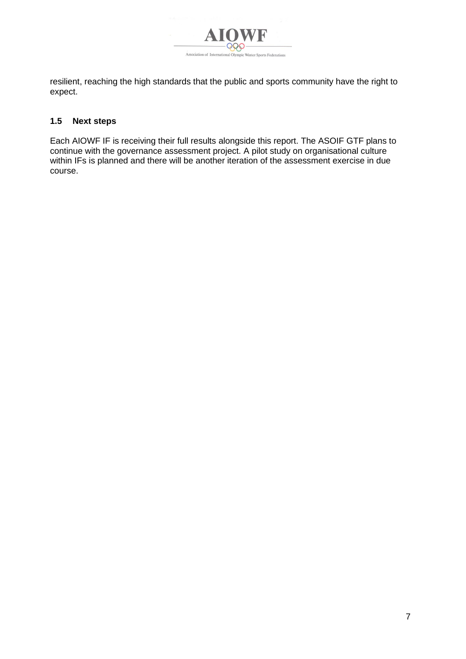

resilient, reaching the high standards that the public and sports community have the right to expect.

## **1.5 Next steps**

Each AIOWF IF is receiving their full results alongside this report. The ASOIF GTF plans to continue with the governance assessment project. A pilot study on organisational culture within IFs is planned and there will be another iteration of the assessment exercise in due course.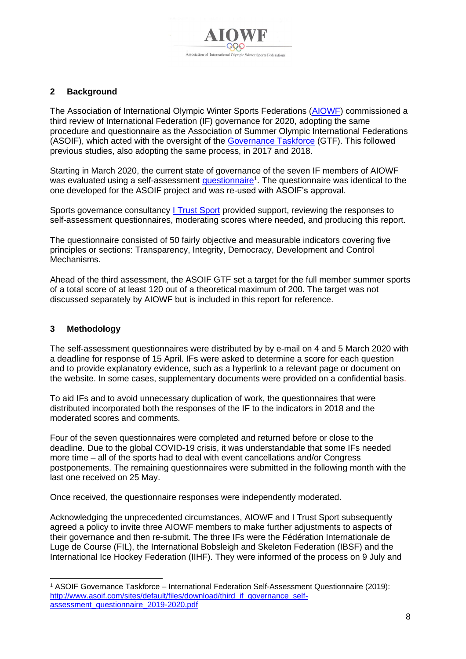## <span id="page-7-0"></span>**2 Background**

The Association of International Olympic Winter Sports Federations [\(AIOWF\)](https://www.olympic.org/ioc-governance-international-sports-federations) commissioned a third review of International Federation (IF) governance for 2020, adopting the same procedure and questionnaire as the Association of Summer Olympic International Federations (ASOIF), which acted with the oversight of the [Governance Taskforce](http://www.asoif.com/governance-task-force) (GTF). This followed previous studies, also adopting the same process, in 2017 and 2018.

Starting in March 2020, the current state of governance of the seven IF members of AIOWF was evaluated using a self-assessment <u>questionnaire</u><sup>1</sup>. The [questionnaire](http://www.asoif.com/sites/default/files/download/third_if_governance_self-assessment_questionnaire_2019-2020.pdf) was identical to the one developed for the ASOIF project and was re-used with ASOIF's approval.

Sports governance consultancy [I Trust Sport](http://www.itrustsport.com/) provided support, reviewing the responses to self-assessment questionnaires, moderating scores where needed, and producing this report.

The questionnaire consisted of 50 fairly objective and measurable indicators covering five principles or sections: Transparency, Integrity, Democracy, Development and Control Mechanisms.

Ahead of the third assessment, the ASOIF GTF set a target for the full member summer sports of a total score of at least 120 out of a theoretical maximum of 200. The target was not discussed separately by AIOWF but is included in this report for reference.

## <span id="page-7-1"></span>**3 Methodology**

The self-assessment questionnaires were distributed by by e-mail on 4 and 5 March 2020 with a deadline for response of 15 April. IFs were asked to determine a score for each question and to provide explanatory evidence, such as a hyperlink to a relevant page or document on the website. In some cases, supplementary documents were provided on a confidential basis.

To aid IFs and to avoid unnecessary duplication of work, the questionnaires that were distributed incorporated both the responses of the IF to the indicators in 2018 and the moderated scores and comments.

Four of the seven questionnaires were completed and returned before or close to the deadline. Due to the global COVID-19 crisis, it was understandable that some IFs needed more time – all of the sports had to deal with event cancellations and/or Congress postponements. The remaining questionnaires were submitted in the following month with the last one received on 25 May.

Once received, the questionnaire responses were independently moderated.

Acknowledging the unprecedented circumstances, AIOWF and I Trust Sport subsequently agreed a policy to invite three AIOWF members to make further adjustments to aspects of their governance and then re-submit. The three IFs were the Fédération Internationale de Luge de Course (FIL), the International Bobsleigh and Skeleton Federation (IBSF) and the International Ice Hockey Federation (IIHF). They were informed of the process on 9 July and

<sup>1</sup> ASOIF Governance Taskforce – International Federation Self-Assessment Questionnaire (2019): [http://www.asoif.com/sites/default/files/download/third\\_if\\_governance\\_self](http://www.asoif.com/sites/default/files/download/third_if_governance_self-assessment_questionnaire_2019-2020.pdf)[assessment\\_questionnaire\\_2019-2020.pdf](http://www.asoif.com/sites/default/files/download/third_if_governance_self-assessment_questionnaire_2019-2020.pdf)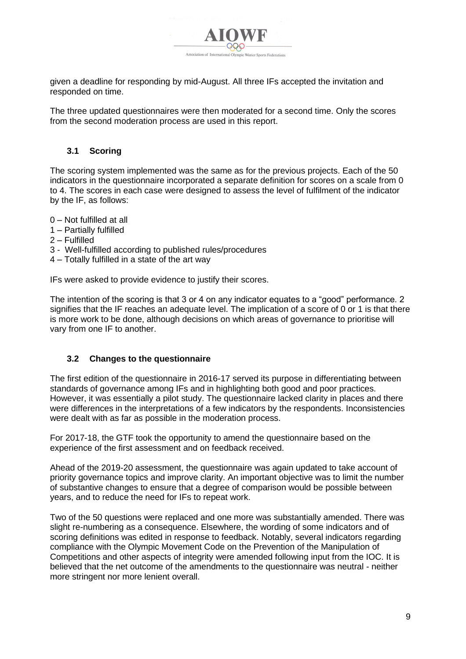

given a deadline for responding by mid-August. All three IFs accepted the invitation and responded on time.

The three updated questionnaires were then moderated for a second time. Only the scores from the second moderation process are used in this report.

## **3.1 Scoring**

The scoring system implemented was the same as for the previous projects. Each of the 50 indicators in the questionnaire incorporated a separate definition for scores on a scale from 0 to 4. The scores in each case were designed to assess the level of fulfilment of the indicator by the IF, as follows:

- 0 Not fulfilled at all
- 1 Partially fulfilled
- 2 Fulfilled
- 3 Well-fulfilled according to published rules/procedures
- 4 Totally fulfilled in a state of the art way

IFs were asked to provide evidence to justify their scores.

The intention of the scoring is that 3 or 4 on any indicator equates to a "good" performance. 2 signifies that the IF reaches an adequate level. The implication of a score of 0 or 1 is that there is more work to be done, although decisions on which areas of governance to prioritise will vary from one IF to another.

## **3.2 Changes to the questionnaire**

The first edition of the questionnaire in 2016-17 served its purpose in differentiating between standards of governance among IFs and in highlighting both good and poor practices. However, it was essentially a pilot study. The questionnaire lacked clarity in places and there were differences in the interpretations of a few indicators by the respondents. Inconsistencies were dealt with as far as possible in the moderation process.

For 2017-18, the GTF took the opportunity to amend the questionnaire based on the experience of the first assessment and on feedback received.

Ahead of the 2019-20 assessment, the questionnaire was again updated to take account of priority governance topics and improve clarity. An important objective was to limit the number of substantive changes to ensure that a degree of comparison would be possible between years, and to reduce the need for IFs to repeat work.

Two of the 50 questions were replaced and one more was substantially amended. There was slight re-numbering as a consequence. Elsewhere, the wording of some indicators and of scoring definitions was edited in response to feedback. Notably, several indicators regarding compliance with the Olympic Movement Code on the Prevention of the Manipulation of Competitions and other aspects of integrity were amended following input from the IOC. It is believed that the net outcome of the amendments to the questionnaire was neutral - neither more stringent nor more lenient overall.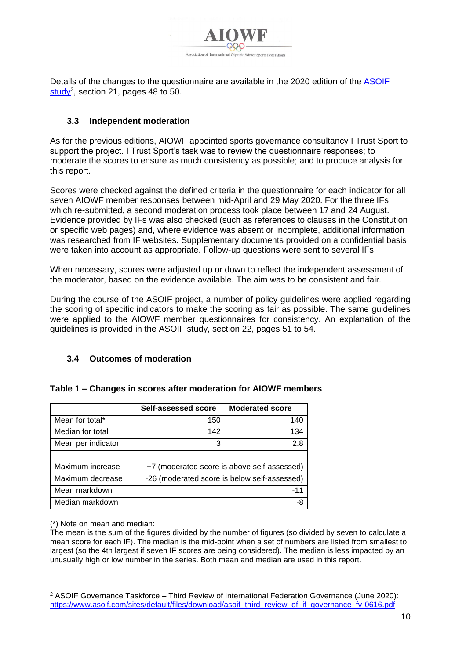

Details of the changes to the questionnaire are available in the 2020 edition of the [ASOIF](https://www.asoif.com/sites/default/files/download/asoif_third_review_of_if_governance_fv-0616.pdf)  <u>[study](https://www.asoif.com/sites/default/files/download/asoif_third_review_of_if_governance_fv-0616.pdf)</u><sup>2</sup>, section 21, pages 48 to 50.

## **3.3 Independent moderation**

As for the previous editions, AIOWF appointed sports governance consultancy I Trust Sport to support the project. I Trust Sport's task was to review the questionnaire responses; to moderate the scores to ensure as much consistency as possible; and to produce analysis for this report.

Scores were checked against the defined criteria in the questionnaire for each indicator for all seven AIOWF member responses between mid-April and 29 May 2020. For the three IFs which re-submitted, a second moderation process took place between 17 and 24 August. Evidence provided by IFs was also checked (such as references to clauses in the Constitution or specific web pages) and, where evidence was absent or incomplete, additional information was researched from IF websites. Supplementary documents provided on a confidential basis were taken into account as appropriate. Follow-up questions were sent to several IFs.

When necessary, scores were adjusted up or down to reflect the independent assessment of the moderator, based on the evidence available. The aim was to be consistent and fair.

During the course of the ASOIF project, a number of policy guidelines were applied regarding the scoring of specific indicators to make the scoring as fair as possible. The same guidelines were applied to the AIOWF member questionnaires for consistency. An explanation of the guidelines is provided in the ASOIF study, section 22, pages 51 to 54.

## **3.4 Outcomes of moderation**

|                    | Self-assessed score                          | <b>Moderated score</b>                      |
|--------------------|----------------------------------------------|---------------------------------------------|
| Mean for total*    | 150                                          | 140                                         |
| Median for total   | 142                                          | 134                                         |
| Mean per indicator | 3                                            | 2.8                                         |
|                    |                                              |                                             |
| Maximum increase   |                                              | +7 (moderated score is above self-assessed) |
| Maximum decrease   | -26 (moderated score is below self-assessed) |                                             |
| Mean markdown      |                                              | -11                                         |
| Median markdown    |                                              |                                             |

#### **Table 1 – Changes in scores after moderation for AIOWF members**

(\*) Note on mean and median:

The mean is the sum of the figures divided by the number of figures (so divided by seven to calculate a mean score for each IF). The median is the mid-point when a set of numbers are listed from smallest to largest (so the 4th largest if seven IF scores are being considered). The median is less impacted by an unusually high or low number in the series. Both mean and median are used in this report.

<sup>2</sup> ASOIF Governance Taskforce – Third Review of International Federation Governance (June 2020): [https://www.asoif.com/sites/default/files/download/asoif\\_third\\_review\\_of\\_if\\_governance\\_fv-0616.pdf](https://www.asoif.com/sites/default/files/download/asoif_third_review_of_if_governance_fv-0616.pdf)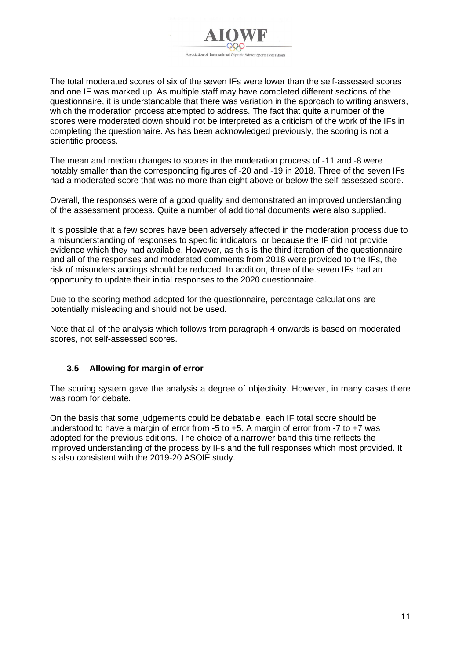

The total moderated scores of six of the seven IFs were lower than the self-assessed scores and one IF was marked up. As multiple staff may have completed different sections of the questionnaire, it is understandable that there was variation in the approach to writing answers, which the moderation process attempted to address. The fact that quite a number of the scores were moderated down should not be interpreted as a criticism of the work of the IFs in completing the questionnaire. As has been acknowledged previously, the scoring is not a scientific process.

The mean and median changes to scores in the moderation process of -11 and -8 were notably smaller than the corresponding figures of -20 and -19 in 2018. Three of the seven IFs had a moderated score that was no more than eight above or below the self-assessed score.

Overall, the responses were of a good quality and demonstrated an improved understanding of the assessment process. Quite a number of additional documents were also supplied.

It is possible that a few scores have been adversely affected in the moderation process due to a misunderstanding of responses to specific indicators, or because the IF did not provide evidence which they had available. However, as this is the third iteration of the questionnaire and all of the responses and moderated comments from 2018 were provided to the IFs, the risk of misunderstandings should be reduced. In addition, three of the seven IFs had an opportunity to update their initial responses to the 2020 questionnaire.

Due to the scoring method adopted for the questionnaire, percentage calculations are potentially misleading and should not be used.

Note that all of the analysis which follows from paragraph [4](#page-11-0) onwards is based on moderated scores, not self-assessed scores.

## **3.5 Allowing for margin of error**

The scoring system gave the analysis a degree of objectivity. However, in many cases there was room for debate.

On the basis that some judgements could be debatable, each IF total score should be understood to have a margin of error from -5 to +5. A margin of error from -7 to +7 was adopted for the previous editions. The choice of a narrower band this time reflects the improved understanding of the process by IFs and the full responses which most provided. It is also consistent with the 2019-20 ASOIF study.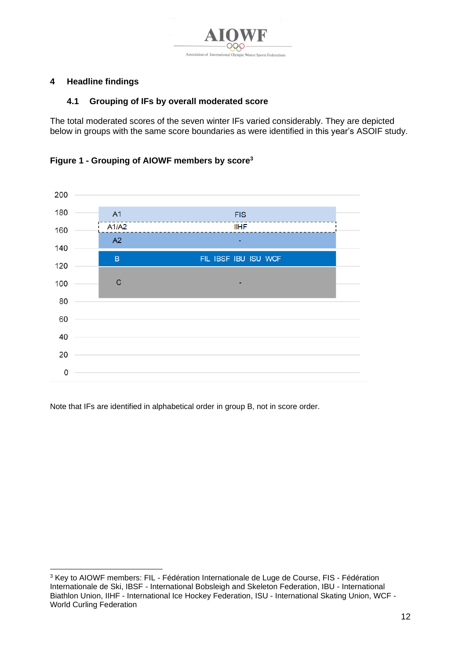

# <span id="page-11-0"></span>**4 Headline findings**

## **4.1 Grouping of IFs by overall moderated score**

The total moderated scores of the seven winter IFs varied considerably. They are depicted below in groups with the same score boundaries as were identified in this year's ASOIF study.

**Figure 1 - Grouping of AIOWF members by score<sup>3</sup>**



Note that IFs are identified in alphabetical order in group B, not in score order.

<sup>&</sup>lt;sup>3</sup> Key to AIOWF members: FIL - Fédération Internationale de Luge de Course, FIS - Fédération Internationale de Ski, IBSF - International Bobsleigh and Skeleton Federation, IBU - International Biathlon Union, IIHF - International Ice Hockey Federation, ISU - International Skating Union, WCF - World Curling Federation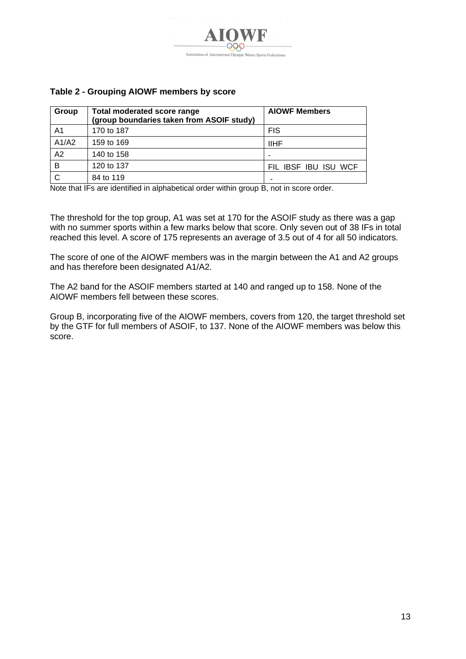

## **Table 2 - Grouping AIOWF members by score**

| Group | <b>Total moderated score range</b><br>(group boundaries taken from ASOIF study) | <b>AIOWF Members</b> |
|-------|---------------------------------------------------------------------------------|----------------------|
| A1    | 170 to 187                                                                      | <b>FIS</b>           |
| A1/A2 | 159 to 169                                                                      | <b>IIHF</b>          |
| A2    | 140 to 158                                                                      |                      |
| B     | 120 to 137                                                                      | FIL IBSF IBU ISU WCF |
|       | 84 to 119                                                                       |                      |

Note that IFs are identified in alphabetical order within group B, not in score order.

The threshold for the top group, A1 was set at 170 for the ASOIF study as there was a gap with no summer sports within a few marks below that score. Only seven out of 38 IFs in total reached this level. A score of 175 represents an average of 3.5 out of 4 for all 50 indicators.

The score of one of the AIOWF members was in the margin between the A1 and A2 groups and has therefore been designated A1/A2.

The A2 band for the ASOIF members started at 140 and ranged up to 158. None of the AIOWF members fell between these scores.

Group B, incorporating five of the AIOWF members, covers from 120, the target threshold set by the GTF for full members of ASOIF, to 137. None of the AIOWF members was below this score.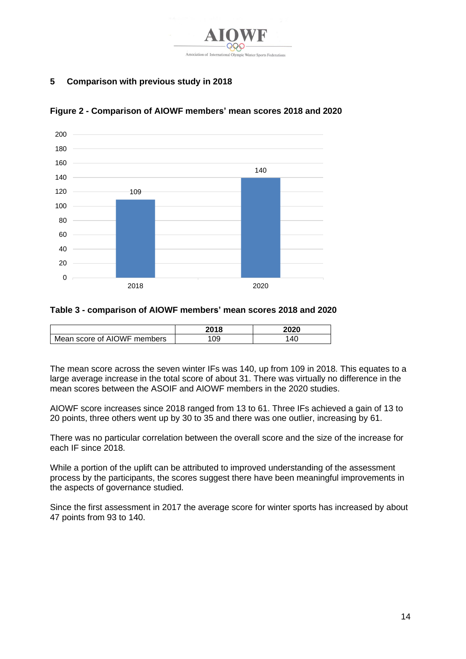

# <span id="page-13-0"></span>**5 Comparison with previous study in 2018**



## **Figure 2 - Comparison of AIOWF members' mean scores 2018 and 2020**

#### **Table 3 - comparison of AIOWF members' mean scores 2018 and 2020**

|                             | 2018 | 2020 |
|-----------------------------|------|------|
| Mean score of AIOWF members | ΟS   | 40   |

The mean score across the seven winter IFs was 140, up from 109 in 2018. This equates to a large average increase in the total score of about 31. There was virtually no difference in the mean scores between the ASOIF and AIOWF members in the 2020 studies.

AIOWF score increases since 2018 ranged from 13 to 61. Three IFs achieved a gain of 13 to 20 points, three others went up by 30 to 35 and there was one outlier, increasing by 61.

There was no particular correlation between the overall score and the size of the increase for each IF since 2018.

While a portion of the uplift can be attributed to improved understanding of the assessment process by the participants, the scores suggest there have been meaningful improvements in the aspects of governance studied.

Since the first assessment in 2017 the average score for winter sports has increased by about 47 points from 93 to 140.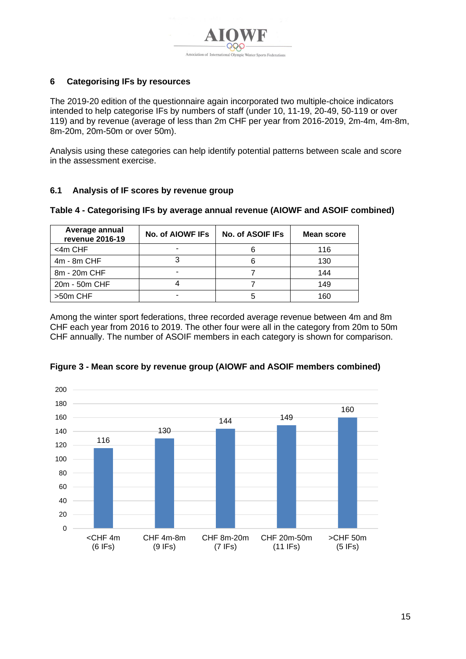

# <span id="page-14-0"></span>**6 Categorising IFs by resources**

The 2019-20 edition of the questionnaire again incorporated two multiple-choice indicators intended to help categorise IFs by numbers of staff (under 10, 11-19, 20-49, 50-119 or over 119) and by revenue (average of less than 2m CHF per year from 2016-2019, 2m-4m, 4m-8m, 8m-20m, 20m-50m or over 50m).

Analysis using these categories can help identify potential patterns between scale and score in the assessment exercise.

## **6.1 Analysis of IF scores by revenue group**

| Average annual<br>revenue 2016-19 | No. of AIOWF IFS | No. of ASOIF IFs | Mean score |
|-----------------------------------|------------------|------------------|------------|
| <4m CHF                           |                  |                  | 116        |
| $4m - 8m$ CHF                     |                  | 6                | 130        |
| 8m - 20m CHF                      |                  |                  | 144        |
| 20m - 50m CHF                     |                  |                  | 149        |
| >50m CHF                          |                  |                  | 160        |

#### **Table 4 - Categorising IFs by average annual revenue (AIOWF and ASOIF combined)**

Among the winter sport federations, three recorded average revenue between 4m and 8m CHF each year from 2016 to 2019. The other four were all in the category from 20m to 50m CHF annually. The number of ASOIF members in each category is shown for comparison.



# **Figure 3 - Mean score by revenue group (AIOWF and ASOIF members combined)**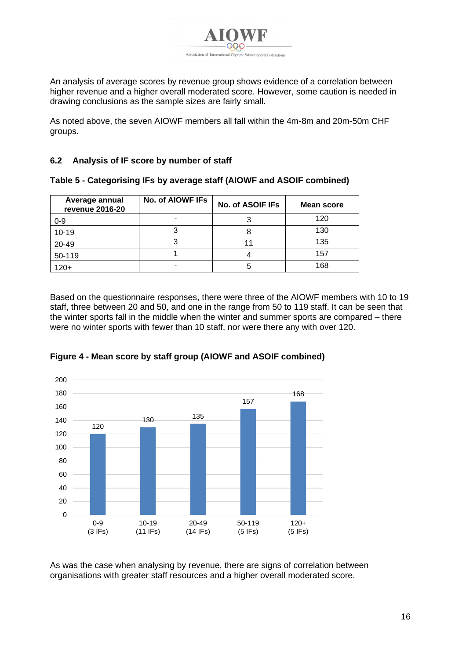

An analysis of average scores by revenue group shows evidence of a correlation between higher revenue and a higher overall moderated score. However, some caution is needed in drawing conclusions as the sample sizes are fairly small.

As noted above, the seven AIOWF members all fall within the 4m-8m and 20m-50m CHF groups.

**Table 5 - Categorising IFs by average staff (AIOWF and ASOIF combined)**

## **6.2 Analysis of IF score by number of staff**

|  |  | Table 5 - Categorishiy ins by average stall (AlOWN and ASOIN Combined) |  |
|--|--|------------------------------------------------------------------------|--|
|  |  |                                                                        |  |

| Average annual<br>revenue 2016-20 | No. of AIOWF IFs | No. of ASOIF IFs | Mean score |
|-----------------------------------|------------------|------------------|------------|
| $0 - 9$                           |                  |                  | 120        |
| $10 - 19$                         |                  |                  | 130        |
| 20-49                             |                  | 11               | 135        |
| 50-119                            |                  |                  | 157        |
| 120+                              | -                | 5                | 168        |

Based on the questionnaire responses, there were three of the AIOWF members with 10 to 19 staff, three between 20 and 50, and one in the range from 50 to 119 staff. It can be seen that the winter sports fall in the middle when the winter and summer sports are compared – there were no winter sports with fewer than 10 staff, nor were there any with over 120.



**Figure 4 - Mean score by staff group (AIOWF and ASOIF combined)**

As was the case when analysing by revenue, there are signs of correlation between organisations with greater staff resources and a higher overall moderated score.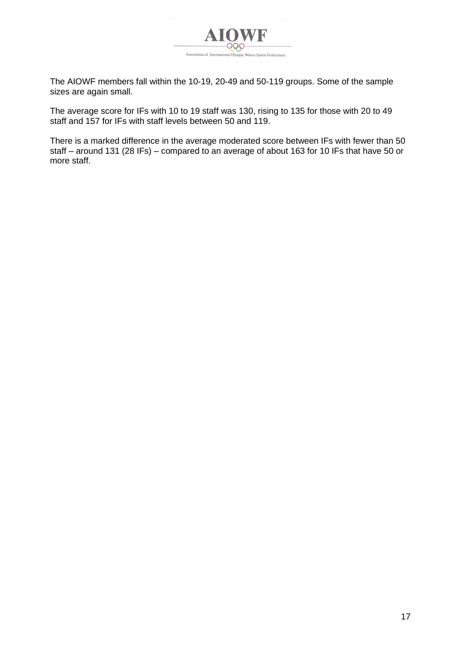

The AIOWF members fall within the 10-19, 20-49 and 50-119 groups. Some of the sample sizes are again small.

The average score for IFs with 10 to 19 staff was 130, rising to 135 for those with 20 to 49 staff and 157 for IFs with staff levels between 50 and 119.

There is a marked difference in the average moderated score between IFs with fewer than 50 staff – around 131 (28 IFs) – compared to an average of about 163 for 10 IFs that have 50 or more staff.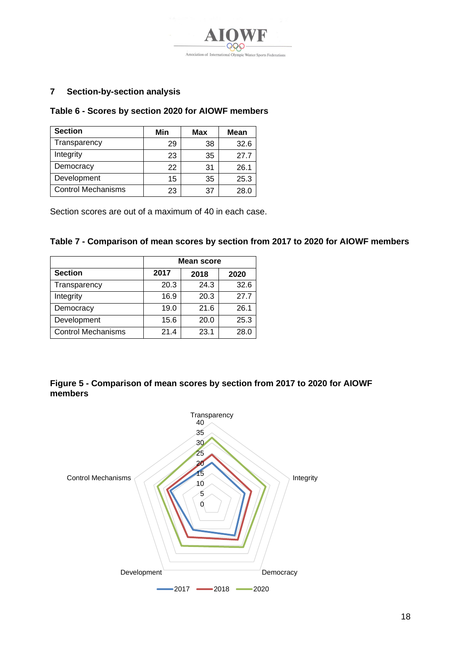

# <span id="page-17-0"></span>**7 Section-by-section analysis**

#### **Table 6 - Scores by section 2020 for AIOWF members**

| <b>Section</b>            | Min | Max | <b>Mean</b> |
|---------------------------|-----|-----|-------------|
| Transparency              | 29  | 38  | 32.6        |
| Integrity                 | 23  | 35  | 27.7        |
| Democracy                 | 22  | 31  | 26.1        |
| Development               | 15  | 35  | 25.3        |
| <b>Control Mechanisms</b> | 23  | 37  | 28.0        |

Section scores are out of a maximum of 40 in each case.

#### **Table 7 - Comparison of mean scores by section from 2017 to 2020 for AIOWF members**

|                           | <b>Mean score</b> |      |      |  |
|---------------------------|-------------------|------|------|--|
| <b>Section</b>            | 2017              | 2018 | 2020 |  |
| Transparency              | 20.3              | 24.3 | 32.6 |  |
| Integrity                 | 16.9              | 20.3 | 27.7 |  |
| Democracy                 | 19.0              | 21.6 | 26.1 |  |
| Development               | 15.6              | 20.0 | 25.3 |  |
| <b>Control Mechanisms</b> | 21.4              | 23.1 | 28.0 |  |

## **Figure 5 - Comparison of mean scores by section from 2017 to 2020 for AIOWF members**

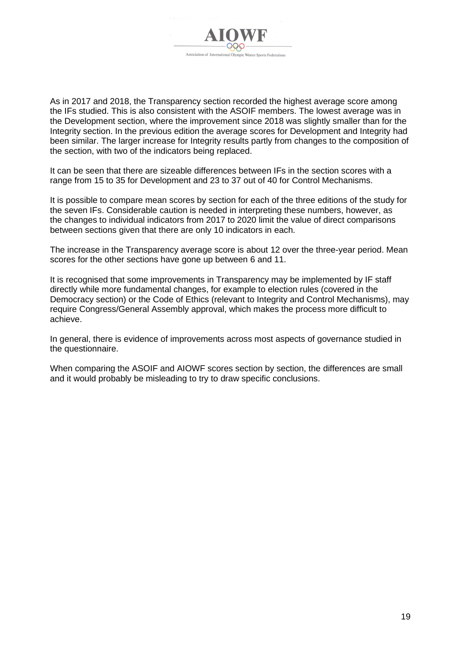

As in 2017 and 2018, the Transparency section recorded the highest average score among the IFs studied. This is also consistent with the ASOIF members. The lowest average was in the Development section, where the improvement since 2018 was slightly smaller than for the Integrity section. In the previous edition the average scores for Development and Integrity had been similar. The larger increase for Integrity results partly from changes to the composition of the section, with two of the indicators being replaced.

It can be seen that there are sizeable differences between IFs in the section scores with a range from 15 to 35 for Development and 23 to 37 out of 40 for Control Mechanisms.

It is possible to compare mean scores by section for each of the three editions of the study for the seven IFs. Considerable caution is needed in interpreting these numbers, however, as the changes to individual indicators from 2017 to 2020 limit the value of direct comparisons between sections given that there are only 10 indicators in each.

The increase in the Transparency average score is about 12 over the three-year period. Mean scores for the other sections have gone up between 6 and 11.

It is recognised that some improvements in Transparency may be implemented by IF staff directly while more fundamental changes, for example to election rules (covered in the Democracy section) or the Code of Ethics (relevant to Integrity and Control Mechanisms), may require Congress/General Assembly approval, which makes the process more difficult to achieve.

In general, there is evidence of improvements across most aspects of governance studied in the questionnaire.

When comparing the ASOIF and AIOWF scores section by section, the differences are small and it would probably be misleading to try to draw specific conclusions.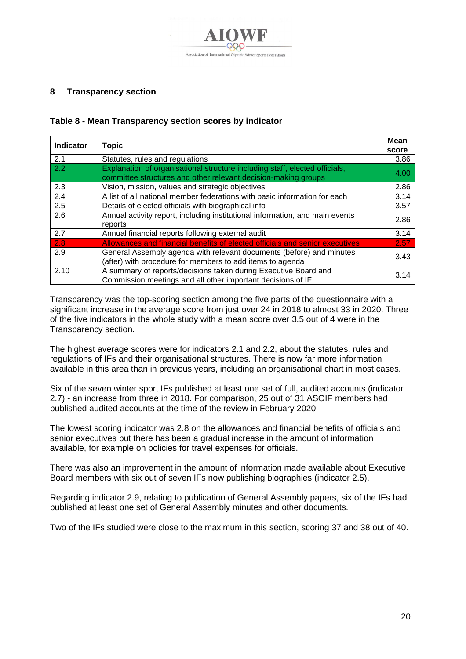

## <span id="page-19-0"></span>**8 Transparency section**

## **Table 8 - Mean Transparency section scores by indicator**

| <b>Indicator</b> | <b>Topic</b>                                                                                                                                  | <b>Mean</b> |
|------------------|-----------------------------------------------------------------------------------------------------------------------------------------------|-------------|
|                  |                                                                                                                                               | score       |
| 2.1              | Statutes, rules and regulations                                                                                                               | 3.86        |
| 2.2              | Explanation of organisational structure including staff, elected officials,<br>committee structures and other relevant decision-making groups | 4.00        |
| 2.3              | Vision, mission, values and strategic objectives                                                                                              | 2.86        |
| 2.4              | A list of all national member federations with basic information for each                                                                     | 3.14        |
| 2.5              | Details of elected officials with biographical info                                                                                           | 3.57        |
| 2.6              | Annual activity report, including institutional information, and main events<br>reports                                                       | 2.86        |
| 2.7              | Annual financial reports following external audit                                                                                             | 3.14        |
| 2.8              | Allowances and financial benefits of elected officials and senior executives                                                                  | 2.57        |
| $\overline{2.9}$ | General Assembly agenda with relevant documents (before) and minutes<br>(after) with procedure for members to add items to agenda             | 3.43        |
| 2.10             | A summary of reports/decisions taken during Executive Board and<br>Commission meetings and all other important decisions of IF                | 3.14        |

Transparency was the top-scoring section among the five parts of the questionnaire with a significant increase in the average score from just over 24 in 2018 to almost 33 in 2020. Three of the five indicators in the whole study with a mean score over 3.5 out of 4 were in the Transparency section.

The highest average scores were for indicators 2.1 and 2.2, about the statutes, rules and regulations of IFs and their organisational structures. There is now far more information available in this area than in previous years, including an organisational chart in most cases.

Six of the seven winter sport IFs published at least one set of full, audited accounts (indicator 2.7) - an increase from three in 2018. For comparison, 25 out of 31 ASOIF members had published audited accounts at the time of the review in February 2020.

The lowest scoring indicator was 2.8 on the allowances and financial benefits of officials and senior executives but there has been a gradual increase in the amount of information available, for example on policies for travel expenses for officials.

There was also an improvement in the amount of information made available about Executive Board members with six out of seven IFs now publishing biographies (indicator 2.5).

Regarding indicator 2.9, relating to publication of General Assembly papers, six of the IFs had published at least one set of General Assembly minutes and other documents.

Two of the IFs studied were close to the maximum in this section, scoring 37 and 38 out of 40.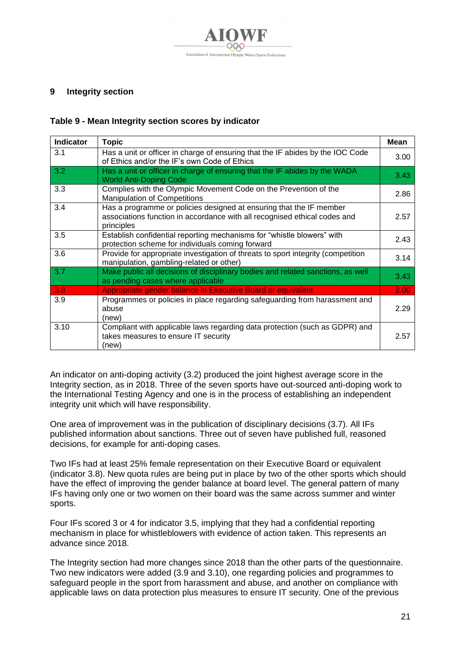

## <span id="page-20-0"></span>**9 Integrity section**

#### **Table 9 - Mean Integrity section scores by indicator**

| <b>Indicator</b> | <b>Topic</b>                                                                                                                                                   | Mean |
|------------------|----------------------------------------------------------------------------------------------------------------------------------------------------------------|------|
| 3.1              | Has a unit or officer in charge of ensuring that the IF abides by the IOC Code<br>of Ethics and/or the IF's own Code of Ethics                                 | 3.00 |
| 3.2              | Has a unit or officer in charge of ensuring that the IF abides by the WADA<br><b>World Anti-Doping Code</b>                                                    | 3.43 |
| 3.3              | Complies with the Olympic Movement Code on the Prevention of the<br><b>Manipulation of Competitions</b>                                                        | 2.86 |
| 3.4              | Has a programme or policies designed at ensuring that the IF member<br>associations function in accordance with all recognised ethical codes and<br>principles | 2.57 |
| 3.5              | Establish confidential reporting mechanisms for "whistle blowers" with<br>protection scheme for individuals coming forward                                     | 2.43 |
| 3.6              | Provide for appropriate investigation of threats to sport integrity (competition<br>manipulation, gambling-related or other)                                   | 3.14 |
| 3.7              | Make public all decisions of disciplinary bodies and related sanctions, as well<br>as pending cases where applicable                                           | 3.43 |
| 3.8              | Appropriate gender balance in Executive Board or equivalent                                                                                                    | 2.00 |
| 3.9              | Programmes or policies in place regarding safeguarding from harassment and<br>abuse<br>(new)                                                                   | 2.29 |
| 3.10             | Compliant with applicable laws regarding data protection (such as GDPR) and<br>takes measures to ensure IT security<br>(new)                                   | 2.57 |

An indicator on anti-doping activity (3.2) produced the joint highest average score in the Integrity section, as in 2018. Three of the seven sports have out-sourced anti-doping work to the International Testing Agency and one is in the process of establishing an independent integrity unit which will have responsibility.

One area of improvement was in the publication of disciplinary decisions (3.7). All IFs published information about sanctions. Three out of seven have published full, reasoned decisions, for example for anti-doping cases.

Two IFs had at least 25% female representation on their Executive Board or equivalent (indicator 3.8). New quota rules are being put in place by two of the other sports which should have the effect of improving the gender balance at board level. The general pattern of many IFs having only one or two women on their board was the same across summer and winter sports.

Four IFs scored 3 or 4 for indicator 3.5, implying that they had a confidential reporting mechanism in place for whistleblowers with evidence of action taken. This represents an advance since 2018.

The Integrity section had more changes since 2018 than the other parts of the questionnaire. Two new indicators were added (3.9 and 3.10), one regarding policies and programmes to safeguard people in the sport from harassment and abuse, and another on compliance with applicable laws on data protection plus measures to ensure IT security. One of the previous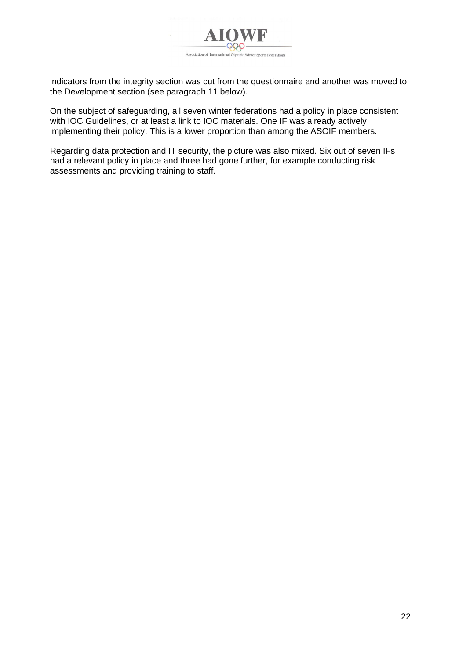

indicators from the integrity section was cut from the questionnaire and another was moved to the Development section (see paragraph [11](#page-23-0) below).

On the subject of safeguarding, all seven winter federations had a policy in place consistent with IOC Guidelines, or at least a link to IOC materials. One IF was already actively implementing their policy. This is a lower proportion than among the ASOIF members.

Regarding data protection and IT security, the picture was also mixed. Six out of seven IFs had a relevant policy in place and three had gone further, for example conducting risk assessments and providing training to staff.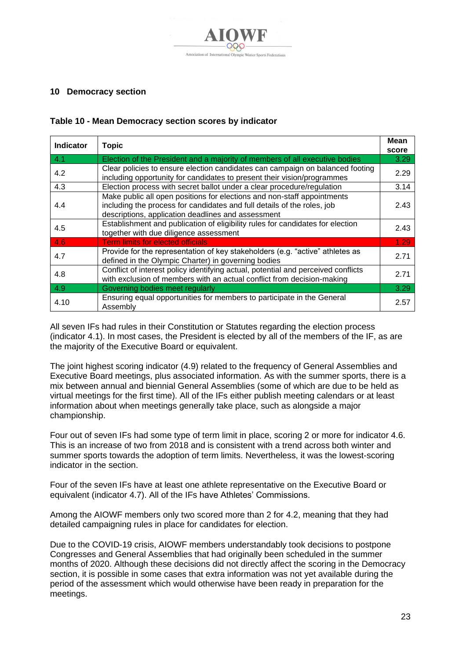

## <span id="page-22-0"></span>**10 Democracy section**

| Table 10 - Mean Democracy section scores by indicator |  |  |
|-------------------------------------------------------|--|--|
|-------------------------------------------------------|--|--|

| <b>Indicator</b> | <b>Topic</b>                                                                                                                                                                                             | Mean<br>score |
|------------------|----------------------------------------------------------------------------------------------------------------------------------------------------------------------------------------------------------|---------------|
| 4.1              | Election of the President and a majority of members of all executive bodies                                                                                                                              | 3.29          |
| 4.2              | Clear policies to ensure election candidates can campaign on balanced footing<br>including opportunity for candidates to present their vision/programmes                                                 | 2.29          |
| 4.3              | Election process with secret ballot under a clear procedure/regulation                                                                                                                                   | 3.14          |
| 4.4              | Make public all open positions for elections and non-staff appointments<br>including the process for candidates and full details of the roles, job<br>descriptions, application deadlines and assessment | 2.43          |
| 4.5              | Establishment and publication of eligibility rules for candidates for election<br>together with due diligence assessment                                                                                 | 2.43          |
| 4.6              | <b>Term limits for elected officials</b>                                                                                                                                                                 | 1.29          |
| 4.7              | Provide for the representation of key stakeholders (e.g. "active" athletes as<br>defined in the Olympic Charter) in governing bodies                                                                     | 2.71          |
| 4.8              | Conflict of interest policy identifying actual, potential and perceived conflicts<br>with exclusion of members with an actual conflict from decision-making                                              | 2.71          |
| 4.9              | Governing bodies meet regularly                                                                                                                                                                          | 3.29          |
| 4.10             | Ensuring equal opportunities for members to participate in the General<br>Assembly                                                                                                                       | 2.57          |

All seven IFs had rules in their Constitution or Statutes regarding the election process (indicator 4.1). In most cases, the President is elected by all of the members of the IF, as are the majority of the Executive Board or equivalent.

The joint highest scoring indicator (4.9) related to the frequency of General Assemblies and Executive Board meetings, plus associated information. As with the summer sports, there is a mix between annual and biennial General Assemblies (some of which are due to be held as virtual meetings for the first time). All of the IFs either publish meeting calendars or at least information about when meetings generally take place, such as alongside a major championship.

Four out of seven IFs had some type of term limit in place, scoring 2 or more for indicator 4.6. This is an increase of two from 2018 and is consistent with a trend across both winter and summer sports towards the adoption of term limits. Nevertheless, it was the lowest-scoring indicator in the section.

Four of the seven IFs have at least one athlete representative on the Executive Board or equivalent (indicator 4.7). All of the IFs have Athletes' Commissions.

Among the AIOWF members only two scored more than 2 for 4.2, meaning that they had detailed campaigning rules in place for candidates for election.

Due to the COVID-19 crisis, AIOWF members understandably took decisions to postpone Congresses and General Assemblies that had originally been scheduled in the summer months of 2020. Although these decisions did not directly affect the scoring in the Democracy section, it is possible in some cases that extra information was not yet available during the period of the assessment which would otherwise have been ready in preparation for the meetings.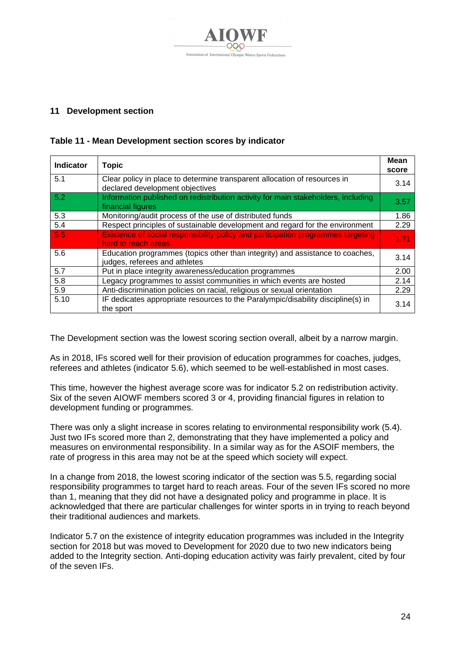

## <span id="page-23-0"></span>**11 Development section**

| <b>Indicator</b> | <b>Topic</b>                                                                                                   | Mean<br>score |
|------------------|----------------------------------------------------------------------------------------------------------------|---------------|
| 5.1              | Clear policy in place to determine transparent allocation of resources in<br>declared development objectives   | 3.14          |
| 5.2              | Information published on redistribution activity for main stakeholders, including<br>financial figures         | 3.57          |
| 5.3              | Monitoring/audit process of the use of distributed funds                                                       | 1.86          |
| 5.4              | Respect principles of sustainable development and regard for the environment                                   | 2.29          |
| 5.5              | Existence of social responsibility policy and participation programmes targeting<br>hard to reach areas        | 1.71          |
| 5.6              | Education programmes (topics other than integrity) and assistance to coaches,<br>judges, referees and athletes | 3.14          |
| 5.7              | Put in place integrity awareness/education programmes                                                          | 2.00          |
| 5.8              | Legacy programmes to assist communities in which events are hosted                                             | 2.14          |
| 5.9              | Anti-discrimination policies on racial, religious or sexual orientation                                        | 2.29          |
| 5.10             | IF dedicates appropriate resources to the Paralympic/disability discipline(s) in<br>the sport                  | 3.14          |

## **Table 11 - Mean Development section scores by indicator**

The Development section was the lowest scoring section overall, albeit by a narrow margin.

As in 2018, IFs scored well for their provision of education programmes for coaches, judges, referees and athletes (indicator 5.6), which seemed to be well-established in most cases.

This time, however the highest average score was for indicator 5.2 on redistribution activity. Six of the seven AIOWF members scored 3 or 4, providing financial figures in relation to development funding or programmes.

There was only a slight increase in scores relating to environmental responsibility work (5.4). Just two IFs scored more than 2, demonstrating that they have implemented a policy and measures on environmental responsibility. In a similar way as for the ASOIF members, the rate of progress in this area may not be at the speed which society will expect.

In a change from 2018, the lowest scoring indicator of the section was 5.5, regarding social responsibility programmes to target hard to reach areas. Four of the seven IFs scored no more than 1, meaning that they did not have a designated policy and programme in place. It is acknowledged that there are particular challenges for winter sports in in trying to reach beyond their traditional audiences and markets.

Indicator 5.7 on the existence of integrity education programmes was included in the Integrity section for 2018 but was moved to Development for 2020 due to two new indicators being added to the Integrity section. Anti-doping education activity was fairly prevalent, cited by four of the seven IFs.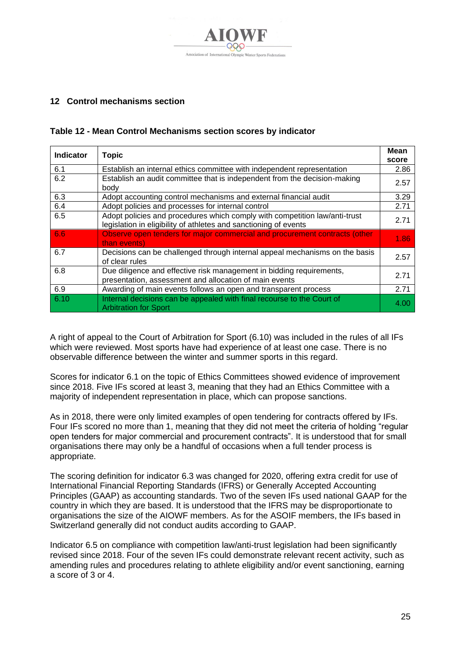

# <span id="page-24-0"></span>**12 Control mechanisms section**

## **Table 12 - Mean Control Mechanisms section scores by indicator**

| <b>Indicator</b> | <b>Topic</b>                                                                                                                                   | <b>Mean</b><br>score |
|------------------|------------------------------------------------------------------------------------------------------------------------------------------------|----------------------|
| 6.1              | Establish an internal ethics committee with independent representation                                                                         | 2.86                 |
| 6.2              | Establish an audit committee that is independent from the decision-making<br>body                                                              | 2.57                 |
| 6.3              | Adopt accounting control mechanisms and external financial audit                                                                               | 3.29                 |
| 6.4              | Adopt policies and processes for internal control                                                                                              | 2.71                 |
| 6.5              | Adopt policies and procedures which comply with competition law/anti-trust<br>legislation in eligibility of athletes and sanctioning of events | 2.71                 |
| 6.6              | Observe open tenders for major commercial and procurement contracts (other<br>than events)                                                     | 1.86                 |
| 6.7              | Decisions can be challenged through internal appeal mechanisms on the basis<br>of clear rules                                                  | 2.57                 |
| 6.8              | Due diligence and effective risk management in bidding requirements,<br>presentation, assessment and allocation of main events                 | 2.71                 |
| 6.9              | Awarding of main events follows an open and transparent process                                                                                | 2.71                 |
| 6.10             | Internal decisions can be appealed with final recourse to the Court of<br><b>Arbitration for Sport</b>                                         | 4.00                 |

A right of appeal to the Court of Arbitration for Sport (6.10) was included in the rules of all IFs which were reviewed. Most sports have had experience of at least one case. There is no observable difference between the winter and summer sports in this regard.

Scores for indicator 6.1 on the topic of Ethics Committees showed evidence of improvement since 2018. Five IFs scored at least 3, meaning that they had an Ethics Committee with a majority of independent representation in place, which can propose sanctions.

As in 2018, there were only limited examples of open tendering for contracts offered by IFs. Four IFs scored no more than 1, meaning that they did not meet the criteria of holding "regular open tenders for major commercial and procurement contracts". It is understood that for small organisations there may only be a handful of occasions when a full tender process is appropriate.

The scoring definition for indicator 6.3 was changed for 2020, offering extra credit for use of International Financial Reporting Standards (IFRS) or Generally Accepted Accounting Principles (GAAP) as accounting standards. Two of the seven IFs used national GAAP for the country in which they are based. It is understood that the IFRS may be disproportionate to organisations the size of the AIOWF members. As for the ASOIF members, the IFs based in Switzerland generally did not conduct audits according to GAAP.

Indicator 6.5 on compliance with competition law/anti-trust legislation had been significantly revised since 2018. Four of the seven IFs could demonstrate relevant recent activity, such as amending rules and procedures relating to athlete eligibility and/or event sanctioning, earning a score of 3 or 4.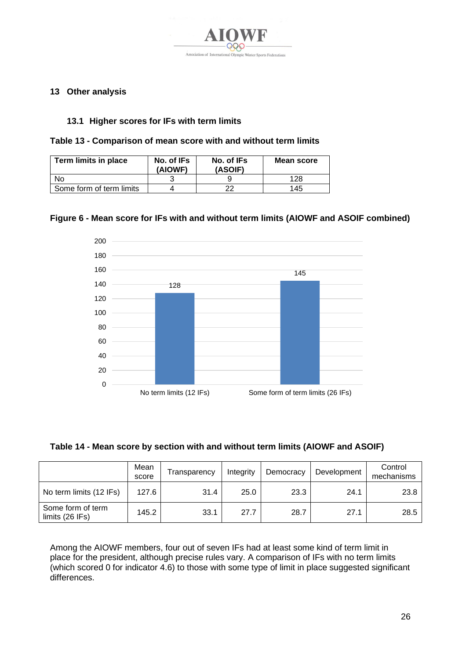

## <span id="page-25-0"></span>**13 Other analysis**

## **13.1 Higher scores for IFs with term limits**

|  | Table 13 - Comparison of mean score with and without term limits |
|--|------------------------------------------------------------------|
|--|------------------------------------------------------------------|

| Term limits in place     | No. of IFs<br>(AIOWF) | No. of IFs<br>(ASOIF) | Mean score |
|--------------------------|-----------------------|-----------------------|------------|
| N٥                       |                       |                       | 128        |
| Some form of term limits |                       | າາ                    | 145        |

## **Figure 6 - Mean score for IFs with and without term limits (AIOWF and ASOIF combined)**



| Table 14 - Mean score by section with and without term limits (AIOWF and ASOIF) |  |  |  |
|---------------------------------------------------------------------------------|--|--|--|
|---------------------------------------------------------------------------------|--|--|--|

|                                      | Mean<br>score | Transparency | Integrity | Democracy | Development | Control<br>mechanisms |
|--------------------------------------|---------------|--------------|-----------|-----------|-------------|-----------------------|
| No term limits (12 IFs)              | 127.6         | 31.4         | 25.0      | 23.3      | 24.1        | 23.8                  |
| Some form of term<br>limits (26 IFs) | 145.2         | 33.1         | 27.7      | 28.7      | 27.1        | 28.5                  |

Among the AIOWF members, four out of seven IFs had at least some kind of term limit in place for the president, although precise rules vary. A comparison of IFs with no term limits (which scored 0 for indicator 4.6) to those with some type of limit in place suggested significant differences.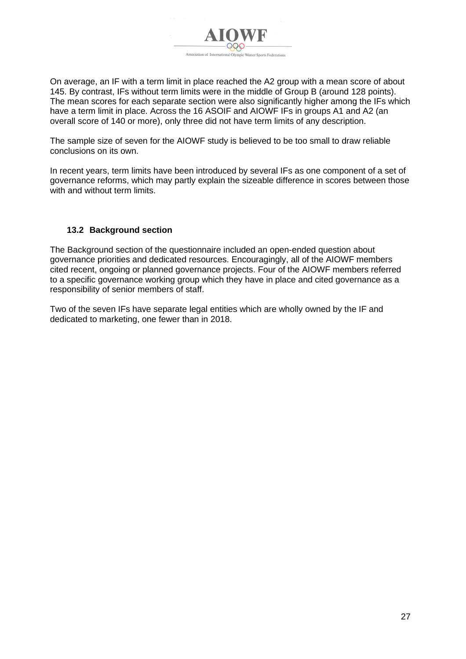

On average, an IF with a term limit in place reached the A2 group with a mean score of about 145. By contrast, IFs without term limits were in the middle of Group B (around 128 points). The mean scores for each separate section were also significantly higher among the IFs which have a term limit in place. Across the 16 ASOIF and AIOWF IFs in groups A1 and A2 (an overall score of 140 or more), only three did not have term limits of any description.

The sample size of seven for the AIOWF study is believed to be too small to draw reliable conclusions on its own.

In recent years, term limits have been introduced by several IFs as one component of a set of governance reforms, which may partly explain the sizeable difference in scores between those with and without term limits.

## **13.2 Background section**

The Background section of the questionnaire included an open-ended question about governance priorities and dedicated resources. Encouragingly, all of the AIOWF members cited recent, ongoing or planned governance projects. Four of the AIOWF members referred to a specific governance working group which they have in place and cited governance as a responsibility of senior members of staff.

Two of the seven IFs have separate legal entities which are wholly owned by the IF and dedicated to marketing, one fewer than in 2018.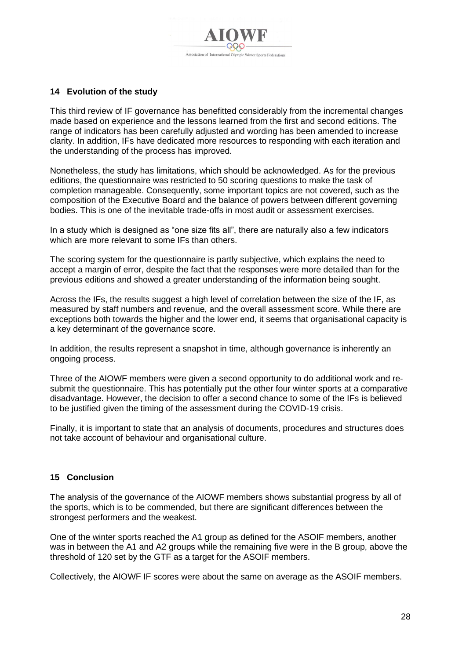## <span id="page-27-0"></span>**14 Evolution of the study**

This third review of IF governance has benefitted considerably from the incremental changes made based on experience and the lessons learned from the first and second editions. The range of indicators has been carefully adjusted and wording has been amended to increase clarity. In addition, IFs have dedicated more resources to responding with each iteration and the understanding of the process has improved.

Nonetheless, the study has limitations, which should be acknowledged. As for the previous editions, the questionnaire was restricted to 50 scoring questions to make the task of completion manageable. Consequently, some important topics are not covered, such as the composition of the Executive Board and the balance of powers between different governing bodies. This is one of the inevitable trade-offs in most audit or assessment exercises.

In a study which is designed as "one size fits all", there are naturally also a few indicators which are more relevant to some IFs than others.

The scoring system for the questionnaire is partly subjective, which explains the need to accept a margin of error, despite the fact that the responses were more detailed than for the previous editions and showed a greater understanding of the information being sought.

Across the IFs, the results suggest a high level of correlation between the size of the IF, as measured by staff numbers and revenue, and the overall assessment score. While there are exceptions both towards the higher and the lower end, it seems that organisational capacity is a key determinant of the governance score.

In addition, the results represent a snapshot in time, although governance is inherently an ongoing process.

Three of the AIOWF members were given a second opportunity to do additional work and resubmit the questionnaire. This has potentially put the other four winter sports at a comparative disadvantage. However, the decision to offer a second chance to some of the IFs is believed to be justified given the timing of the assessment during the COVID-19 crisis.

Finally, it is important to state that an analysis of documents, procedures and structures does not take account of behaviour and organisational culture.

## <span id="page-27-1"></span>**15 Conclusion**

The analysis of the governance of the AIOWF members shows substantial progress by all of the sports, which is to be commended, but there are significant differences between the strongest performers and the weakest.

One of the winter sports reached the A1 group as defined for the ASOIF members, another was in between the A1 and A2 groups while the remaining five were in the B group, above the threshold of 120 set by the GTF as a target for the ASOIF members.

Collectively, the AIOWF IF scores were about the same on average as the ASOIF members.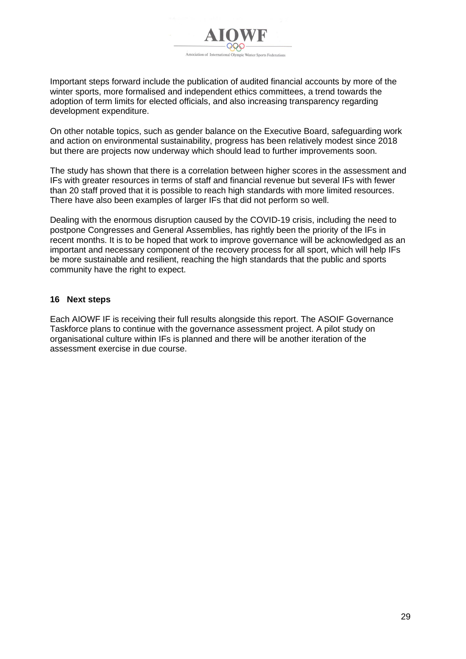

Important steps forward include the publication of audited financial accounts by more of the winter sports, more formalised and independent ethics committees, a trend towards the adoption of term limits for elected officials, and also increasing transparency regarding development expenditure.

On other notable topics, such as gender balance on the Executive Board, safeguarding work and action on environmental sustainability, progress has been relatively modest since 2018 but there are projects now underway which should lead to further improvements soon.

The study has shown that there is a correlation between higher scores in the assessment and IFs with greater resources in terms of staff and financial revenue but several IFs with fewer than 20 staff proved that it is possible to reach high standards with more limited resources. There have also been examples of larger IFs that did not perform so well.

Dealing with the enormous disruption caused by the COVID-19 crisis, including the need to postpone Congresses and General Assemblies, has rightly been the priority of the IFs in recent months. It is to be hoped that work to improve governance will be acknowledged as an important and necessary component of the recovery process for all sport, which will help IFs be more sustainable and resilient, reaching the high standards that the public and sports community have the right to expect.

#### <span id="page-28-0"></span>**16 Next steps**

Each AIOWF IF is receiving their full results alongside this report. The ASOIF Governance Taskforce plans to continue with the governance assessment project. A pilot study on organisational culture within IFs is planned and there will be another iteration of the assessment exercise in due course.